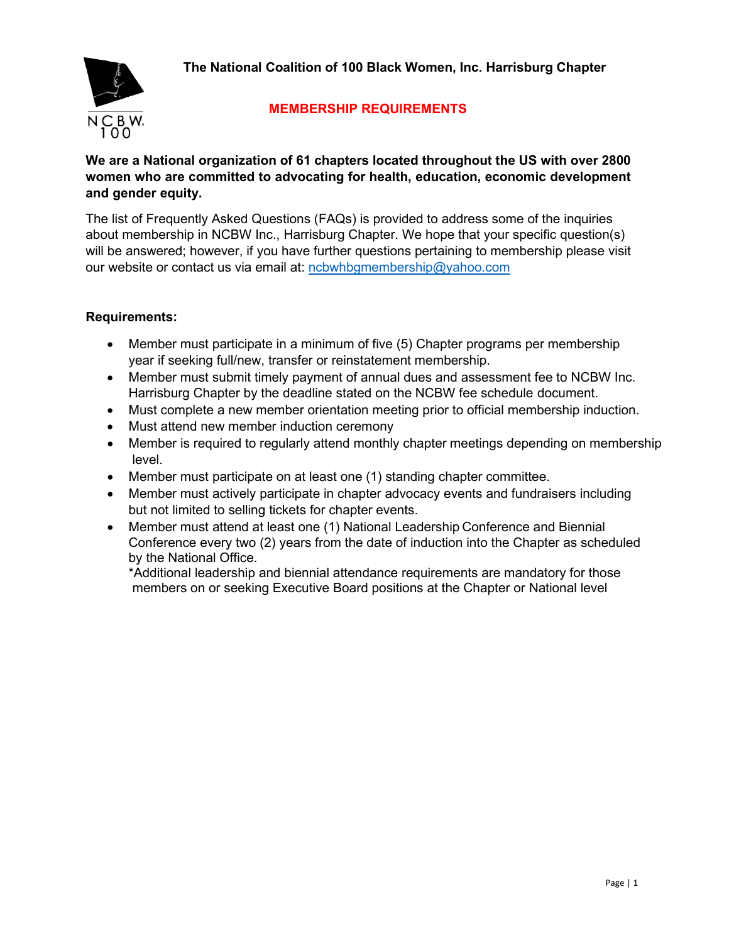**The National Coalition of 100 Black Women, Inc. Harrisburg Chapter**



# **MEMBERSHIP REQUIREMENTS**

## **We are a National organization of 61 chapters located throughout the US with over 2800 women who are committed to advocating for health, education, economic development and gender equity.**

The list of Frequently Asked Questions (FAQs) is provided to address some of the inquiries about membership in NCBW Inc., Harrisburg Chapter. We hope that your specific question(s) will be answered; however, if you have further questions pertaining to membership please visit our website or contact us via email at: [ncbwhbgmembership@yahoo.com](mailto:ncbwhbgmembership@yahoo.com)

## **Requirements:**

- Member must participate in a minimum of five (5) Chapter programs per membership year if seeking full/new, transfer or reinstatement membership.
- Member must submit timely payment of annual dues and assessment fee to NCBW Inc. Harrisburg Chapter by the deadline stated on the NCBW fee schedule document.
- Must complete a new member orientation meeting prior to official membership induction.
- Must attend new member induction ceremony
- Member is required to regularly attend monthly chapter meetings depending on membership level.
- Member must participate on at least one (1) standing chapter committee.
- Member must actively participate in chapter advocacy events and fundraisers including but not limited to selling tickets for chapter events.
- Member must attend at least one (1) National Leadership Conference and Biennial Conference every two (2) years from the date of induction into the Chapter as scheduled by the National Office.

\*Additional leadership and biennial attendance requirements are mandatory for those members on or seeking Executive Board positions at the Chapter or National level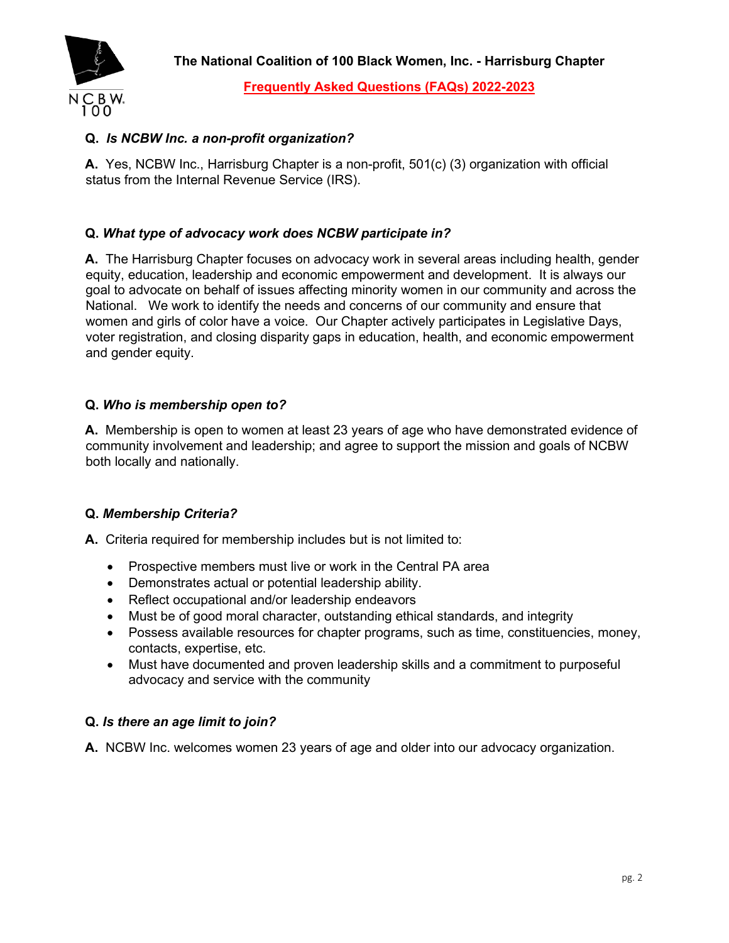

**Frequently Asked Questions (FAQs) 2022-2023**

# **Q.** *Is NCBW Inc. a non-profit organization?*

**A.** Yes, NCBW Inc., Harrisburg Chapter is a non-profit, 501(c) (3) organization with official status from the Internal Revenue Service (IRS).

## **Q.** *What type of advocacy work does NCBW participate in?*

**A.** The Harrisburg Chapter focuses on advocacy work in several areas including health, gender equity, education, leadership and economic empowerment and development. It is always our goal to advocate on behalf of issues affecting minority women in our community and across the National. We work to identify the needs and concerns of our community and ensure that women and girls of color have a voice. Our Chapter actively participates in Legislative Days, voter registration, and closing disparity gaps in education, health, and economic empowerment and gender equity.

#### **Q.** *Who is membership open to?*

**A.** Membership is open to women at least 23 years of age who have demonstrated evidence of community involvement and leadership; and agree to support the mission and goals of NCBW both locally and nationally.

#### **Q.** *Membership Criteria?*

**A.** Criteria required for membership includes but is not limited to:

- Prospective members must live or work in the Central PA area
- Demonstrates actual or potential leadership ability.
- Reflect occupational and/or leadership endeavors
- Must be of good moral character, outstanding ethical standards, and integrity
- Possess available resources for chapter programs, such as time, constituencies, money, contacts, expertise, etc.
- Must have documented and proven leadership skills and a commitment to purposeful advocacy and service with the community

#### **Q.** *Is there an age limit to join?*

**A.** NCBW Inc. welcomes women 23 years of age and older into our advocacy organization.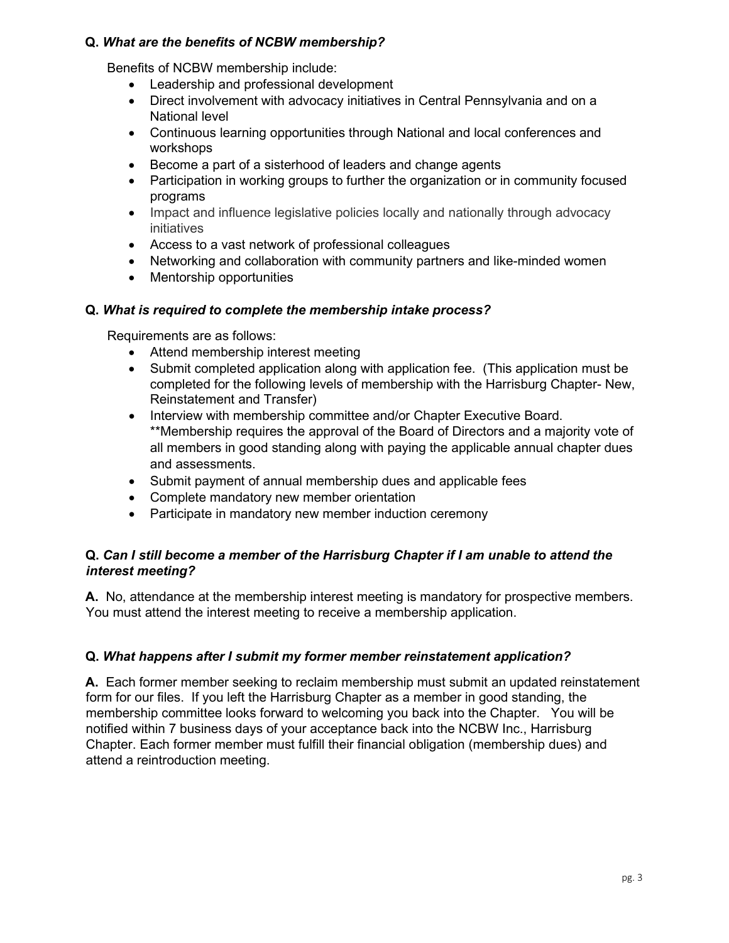### **Q.** *What are the benefits of NCBW membership?*

Benefits of NCBW membership include:

- Leadership and professional development
- Direct involvement with advocacy initiatives in Central Pennsylvania and on a National level
- Continuous learning opportunities through National and local conferences and workshops
- Become a part of a sisterhood of leaders and change agents
- Participation in working groups to further the organization or in community focused programs
- Impact and influence legislative policies locally and nationally through advocacy initiatives
- Access to a vast network of professional colleagues
- Networking and collaboration with community partners and like-minded women
- Mentorship opportunities

#### **Q.** *What is required to complete the membership intake process?*

Requirements are as follows:

- Attend membership interest meeting
- Submit completed application along with application fee. (This application must be completed for the following levels of membership with the Harrisburg Chapter- New, Reinstatement and Transfer)
- Interview with membership committee and/or Chapter Executive Board. \*\*Membership requires the approval of the Board of Directors and a majority vote of all members in good standing along with paying the applicable annual chapter dues and assessments.
- Submit payment of annual membership dues and applicable fees
- Complete mandatory new member orientation
- Participate in mandatory new member induction ceremony

## **Q.** *Can I still become a member of the Harrisburg Chapter if I am unable to attend the interest meeting?*

**A.** No, attendance at the membership interest meeting is mandatory for prospective members. You must attend the interest meeting to receive a membership application.

## **Q.** *What happens after I submit my former member reinstatement application?*

**A.** Each former member seeking to reclaim membership must submit an updated reinstatement form for our files. If you left the Harrisburg Chapter as a member in good standing, the membership committee looks forward to welcoming you back into the Chapter. You will be notified within 7 business days of your acceptance back into the NCBW Inc., Harrisburg Chapter. Each former member must fulfill their financial obligation (membership dues) and attend a reintroduction meeting.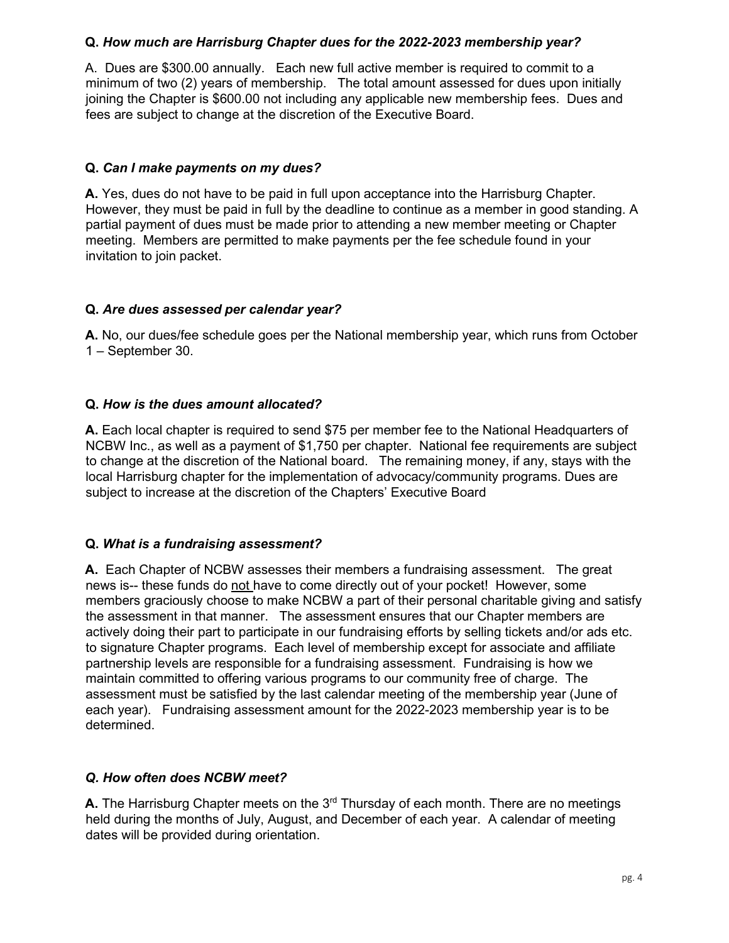## **Q.** *How much are Harrisburg Chapter dues for the 2022-2023 membership year?*

A. Dues are \$300.00 annually. Each new full active member is required to commit to a minimum of two (2) years of membership. The total amount assessed for dues upon initially joining the Chapter is \$600.00 not including any applicable new membership fees. Dues and fees are subject to change at the discretion of the Executive Board.

## **Q.** *Can I make payments on my dues?*

**A.** Yes, dues do not have to be paid in full upon acceptance into the Harrisburg Chapter. However, they must be paid in full by the deadline to continue as a member in good standing. A partial payment of dues must be made prior to attending a new member meeting or Chapter meeting. Members are permitted to make payments per the fee schedule found in your invitation to join packet.

#### **Q.** *Are dues assessed per calendar year?*

**A.** No, our dues/fee schedule goes per the National membership year, which runs from October 1 – September 30.

#### **Q.** *How is the dues amount allocated?*

**A.** Each local chapter is required to send \$75 per member fee to the National Headquarters of NCBW Inc., as well as a payment of \$1,750 per chapter. National fee requirements are subject to change at the discretion of the National board. The remaining money, if any, stays with the local Harrisburg chapter for the implementation of advocacy/community programs. Dues are subject to increase at the discretion of the Chapters' Executive Board

#### **Q.** *What is a fundraising assessment?*

**A.** Each Chapter of NCBW assesses their members a fundraising assessment. The great news is-- these funds do not have to come directly out of your pocket! However, some members graciously choose to make NCBW a part of their personal charitable giving and satisfy the assessment in that manner. The assessment ensures that our Chapter members are actively doing their part to participate in our fundraising efforts by selling tickets and/or ads etc. to signature Chapter programs. Each level of membership except for associate and affiliate partnership levels are responsible for a fundraising assessment. Fundraising is how we maintain committed to offering various programs to our community free of charge. The assessment must be satisfied by the last calendar meeting of the membership year (June of each year). Fundraising assessment amount for the 2022-2023 membership year is to be determined.

#### *Q. How often does NCBW meet?*

**A.** The Harrisburg Chapter meets on the 3<sup>rd</sup> Thursday of each month. There are no meetings held during the months of July, August, and December of each year. A calendar of meeting dates will be provided during orientation.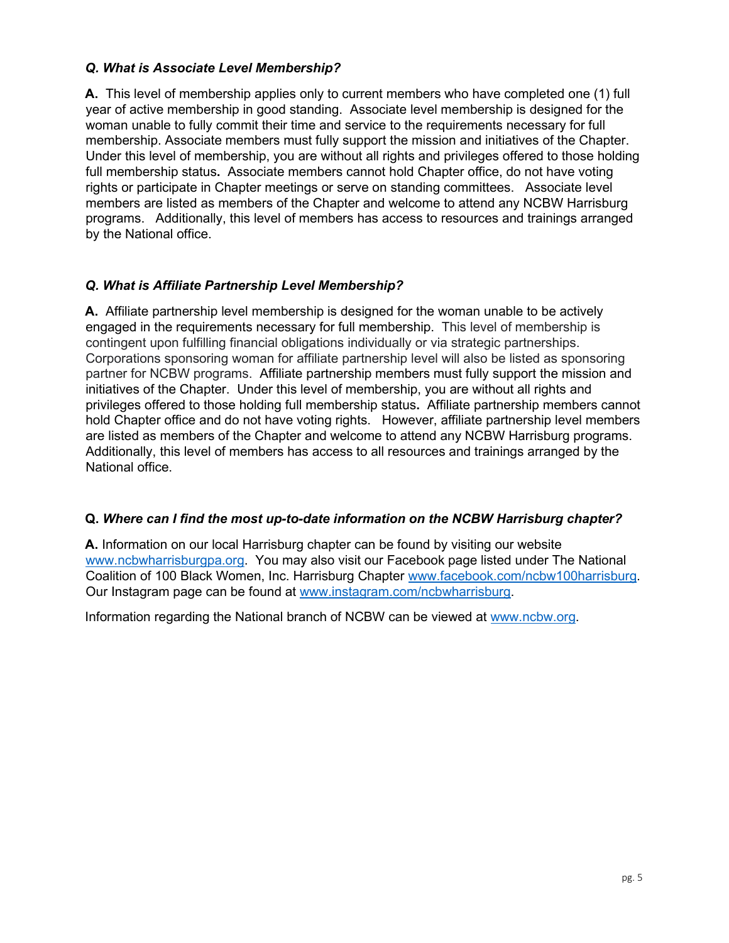## *Q. What is Associate Level Membership?*

**A.** This level of membership applies only to current members who have completed one (1) full year of active membership in good standing. Associate level membership is designed for the woman unable to fully commit their time and service to the requirements necessary for full membership. Associate members must fully support the mission and initiatives of the Chapter. Under this level of membership, you are without all rights and privileges offered to those holding full membership status**.** Associate members cannot hold Chapter office, do not have voting rights or participate in Chapter meetings or serve on standing committees. Associate level members are listed as members of the Chapter and welcome to attend any NCBW Harrisburg programs. Additionally, this level of members has access to resources and trainings arranged by the National office.

## *Q. What is Affiliate Partnership Level Membership?*

**A.** Affiliate partnership level membership is designed for the woman unable to be actively engaged in the requirements necessary for full membership. This level of membership is contingent upon fulfilling financial obligations individually or via strategic partnerships. Corporations sponsoring woman for affiliate partnership level will also be listed as sponsoring partner for NCBW programs. Affiliate partnership members must fully support the mission and initiatives of the Chapter. Under this level of membership, you are without all rights and privileges offered to those holding full membership status**.** Affiliate partnership members cannot hold Chapter office and do not have voting rights. However, affiliate partnership level members are listed as members of the Chapter and welcome to attend any NCBW Harrisburg programs. Additionally, this level of members has access to all resources and trainings arranged by the National office.

#### **Q.** *Where can I find the most up-to-date information on the NCBW Harrisburg chapter?*

**A.** Information on our local Harrisburg chapter can be found by visiting our website [www.ncbwharrisburgpa.org.](http://www.ncbwharrisburgpa.org/) You may also visit our Facebook page listed under The National Coalition of 100 Black Women, Inc. Harrisburg Chapter [www.facebook.com/ncbw100harrisburg.](http://www.facebook.com/ncbw100harrisburg)  Our Instagram page can be found at [www.instagram.com/ncbwharrisburg.](http://www.instagram.com/ncbwharrisburg) 

Information regarding the National branch of NCBW can be viewed at [www.ncbw.org.](http://www.ncbw.org/)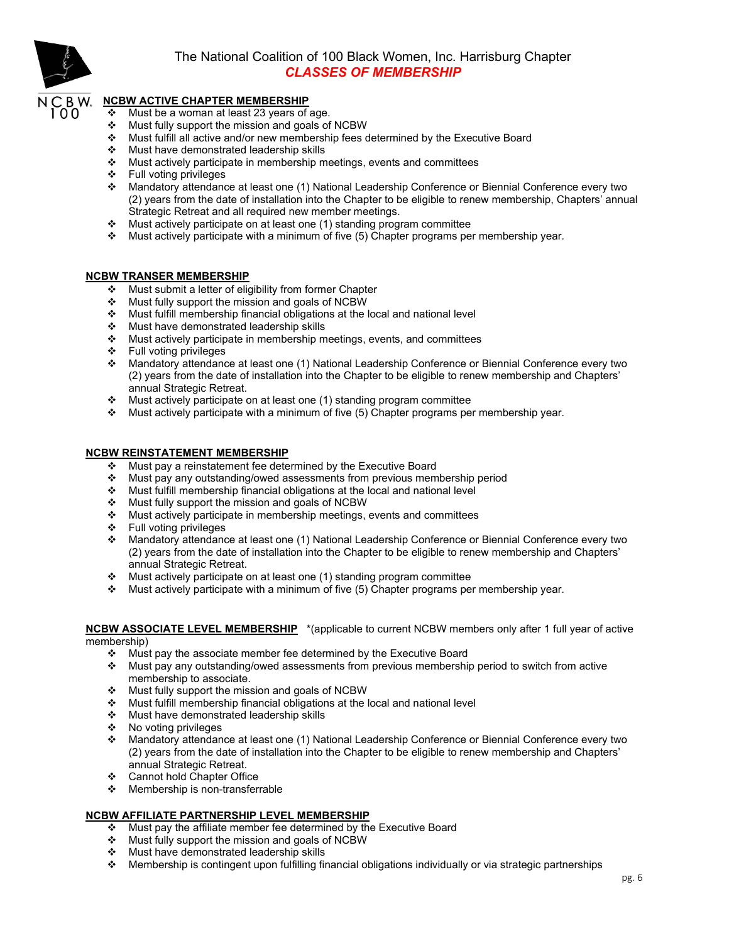

## The National Coalition of 100 Black Women, Inc. Harrisburg Chapter *CLASSES OF MEMBERSHIP*

#### **NCBW ACTIVE CHAPTER MEMBERSHIP**

- $\div$  Must be a woman at least 23 years of age.
- $\div$  Must fully support the mission and goals of NCBW
- Must fulfill all active and/or new membership fees determined by the Executive Board
- Must have demonstrated leadership skills
- ❖ Must actively participate in membership meetings, events and committees
- Full voting privileges
- Mandatory attendance at least one (1) National Leadership Conference or Biennial Conference every two (2) years from the date of installation into the Chapter to be eligible to renew membership, Chapters' annual Strategic Retreat and all required new member meetings.
- $\div$  Must actively participate on at least one (1) standing program committee
- $\cdot$  Must actively participate with a minimum of five (5) Chapter programs per membership year.

#### **NCBW TRANSER MEMBERSHIP**

- ❖ Must submit a letter of eligibility from former Chapter
- $\div$  Must fully support the mission and goals of NCBW
- Must fulfill membership financial obligations at the local and national level
- Must have demonstrated leadership skills
- Must actively participate in membership meetings, events, and committees
- Full voting privileges
- Mandatory attendance at least one (1) National Leadership Conference or Biennial Conference every two (2) years from the date of installation into the Chapter to be eligible to renew membership and Chapters' annual Strategic Retreat.
- Must actively participate on at least one (1) standing program committee
- $\div$  Must actively participate with a minimum of five (5) Chapter programs per membership year.

#### **NCBW REINSTATEMENT MEMBERSHIP**

- Must pay a reinstatement fee determined by the Executive Board
- Must pay any outstanding/owed assessments from previous membership period
- Must fulfill membership financial obligations at the local and national level
- Must fully support the mission and goals of NCBW
- Must actively participate in membership meetings, events and committees
- Full voting privileges
- Mandatory attendance at least one (1) National Leadership Conference or Biennial Conference every two (2) years from the date of installation into the Chapter to be eligible to renew membership and Chapters' annual Strategic Retreat.
- Must actively participate on at least one (1) standing program committee
- Must actively participate with a minimum of five (5) Chapter programs per membership year.

#### **NCBW ASSOCIATE LEVEL MEMBERSHIP** \*(applicable to current NCBW members only after 1 full year of active membership)

- \* Must pay the associate member fee determined by the Executive Board
- $\cdot$  Must pay any outstanding/owed assessments from previous membership period to switch from active membership to associate.
- \* Must fully support the mission and goals of NCBW
- Must fulfill membership financial obligations at the local and national level
- Must have demonstrated leadership skills
- No voting privileges
- Mandatory attendance at least one (1) National Leadership Conference or Biennial Conference every two (2) years from the date of installation into the Chapter to be eligible to renew membership and Chapters' annual Strategic Retreat.
- Cannot hold Chapter Office
- $\div$  Membership is non-transferrable

#### **NCBW AFFILIATE PARTNERSHIP LEVEL MEMBERSHIP**

- Must pay the affiliate member fee determined by the Executive Board
- Must fully support the mission and goals of NCBW
- ❖ Must have demonstrated leadership skills
- $\cdot$  Membership is contingent upon fulfilling financial obligations individually or via strategic partnerships